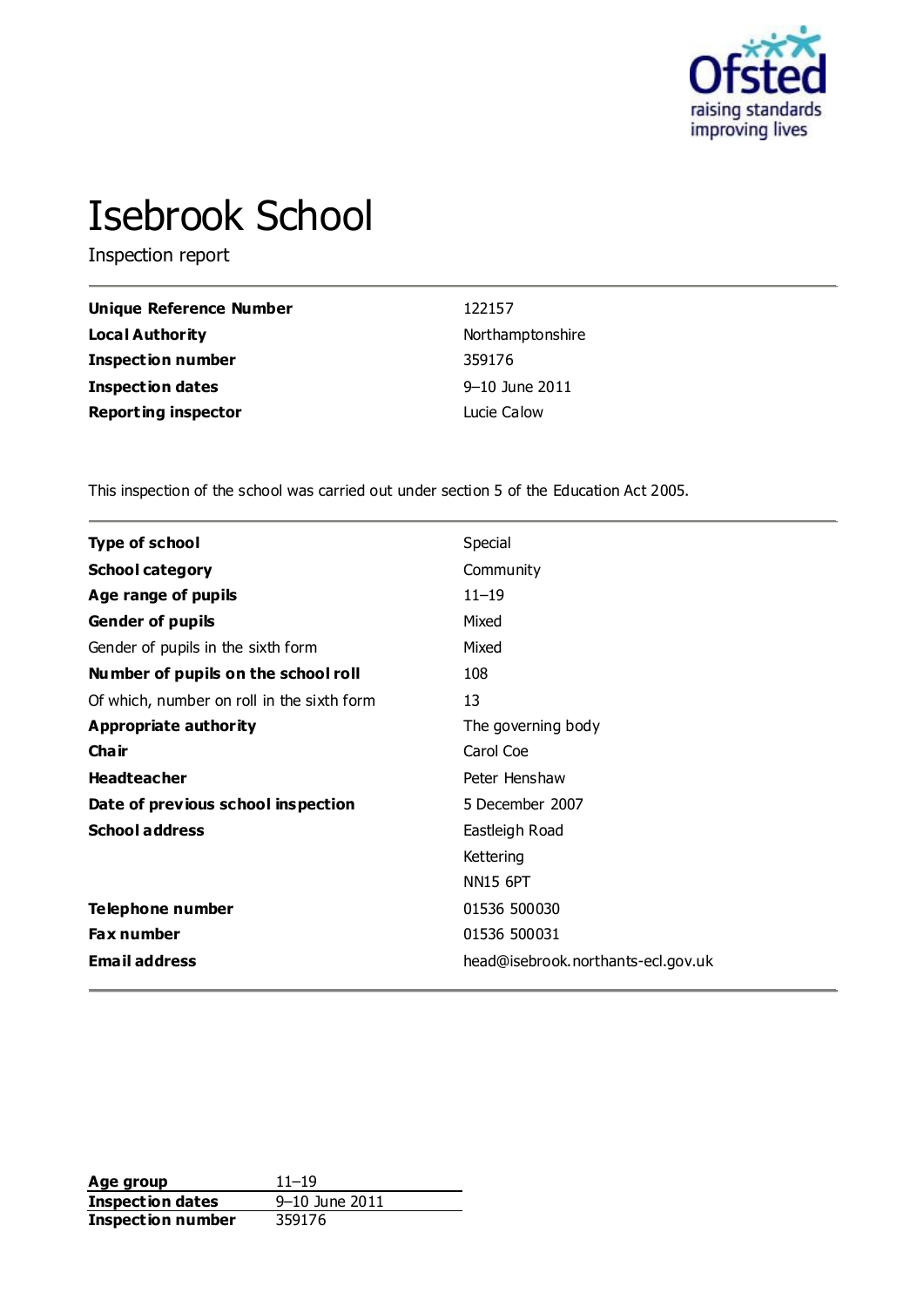

# Isebrook School

Inspection report

| Unique Reference Number    | 122157             |
|----------------------------|--------------------|
| <b>Local Authority</b>     | Northamptonshire   |
| <b>Inspection number</b>   | 359176             |
| <b>Inspection dates</b>    | $9 - 10$ June 2011 |
| <b>Reporting inspector</b> | Lucie Calow        |

This inspection of the school was carried out under section 5 of the Education Act 2005.

| <b>Type of school</b>                      | Special                            |
|--------------------------------------------|------------------------------------|
| <b>School category</b>                     | Community                          |
| Age range of pupils                        | $11 - 19$                          |
| <b>Gender of pupils</b>                    | Mixed                              |
| Gender of pupils in the sixth form         | Mixed                              |
| Number of pupils on the school roll        | 108                                |
| Of which, number on roll in the sixth form | 13                                 |
| Appropriate authority                      | The governing body                 |
| Cha ir                                     | Carol Coe                          |
| <b>Headteacher</b>                         | Peter Henshaw                      |
| Date of previous school inspection         | 5 December 2007                    |
| <b>School address</b>                      | Eastleigh Road                     |
|                                            | Kettering                          |
|                                            | <b>NN15 6PT</b>                    |
| <b>Telephone number</b>                    | 01536 500030                       |
| <b>Fax number</b>                          | 01536 500031                       |
| <b>Email address</b>                       | head@isebrook.northants-ecl.gov.uk |

**Age group** 11–19<br> **Inspection dates** 9–10 June 2011 **Inspection dates** 9–10 June 2011 **Inspection number** 359176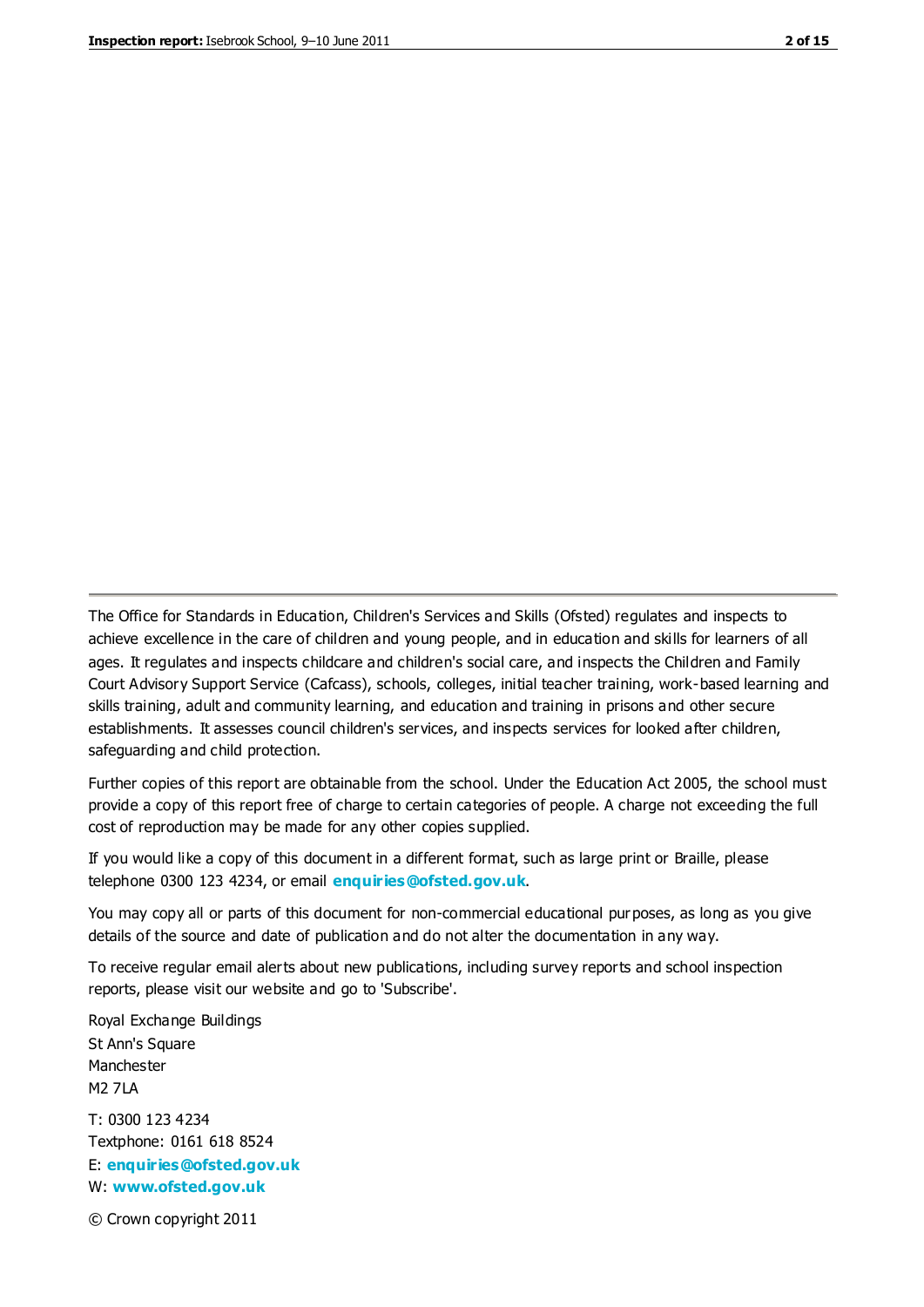The Office for Standards in Education, Children's Services and Skills (Ofsted) regulates and inspects to achieve excellence in the care of children and young people, and in education and skills for learners of all ages. It regulates and inspects childcare and children's social care, and inspects the Children and Family Court Advisory Support Service (Cafcass), schools, colleges, initial teacher training, work-based learning and skills training, adult and community learning, and education and training in prisons and other secure establishments. It assesses council children's services, and inspects services for looked after children, safeguarding and child protection.

Further copies of this report are obtainable from the school. Under the Education Act 2005, the school must provide a copy of this report free of charge to certain categories of people. A charge not exceeding the full cost of reproduction may be made for any other copies supplied.

If you would like a copy of this document in a different format, such as large print or Braille, please telephone 0300 123 4234, or email **[enquiries@ofsted.gov.uk](mailto:enquiries@ofsted.gov.uk)**.

You may copy all or parts of this document for non-commercial educational purposes, as long as you give details of the source and date of publication and do not alter the documentation in any way.

To receive regular email alerts about new publications, including survey reports and school inspection reports, please visit our website and go to 'Subscribe'.

Royal Exchange Buildings St Ann's Square Manchester M2 7LA T: 0300 123 4234 Textphone: 0161 618 8524 E: **[enquiries@ofsted.gov.uk](mailto:enquiries@ofsted.gov.uk)**

W: **[www.ofsted.gov.uk](http://www.ofsted.gov.uk/)**

© Crown copyright 2011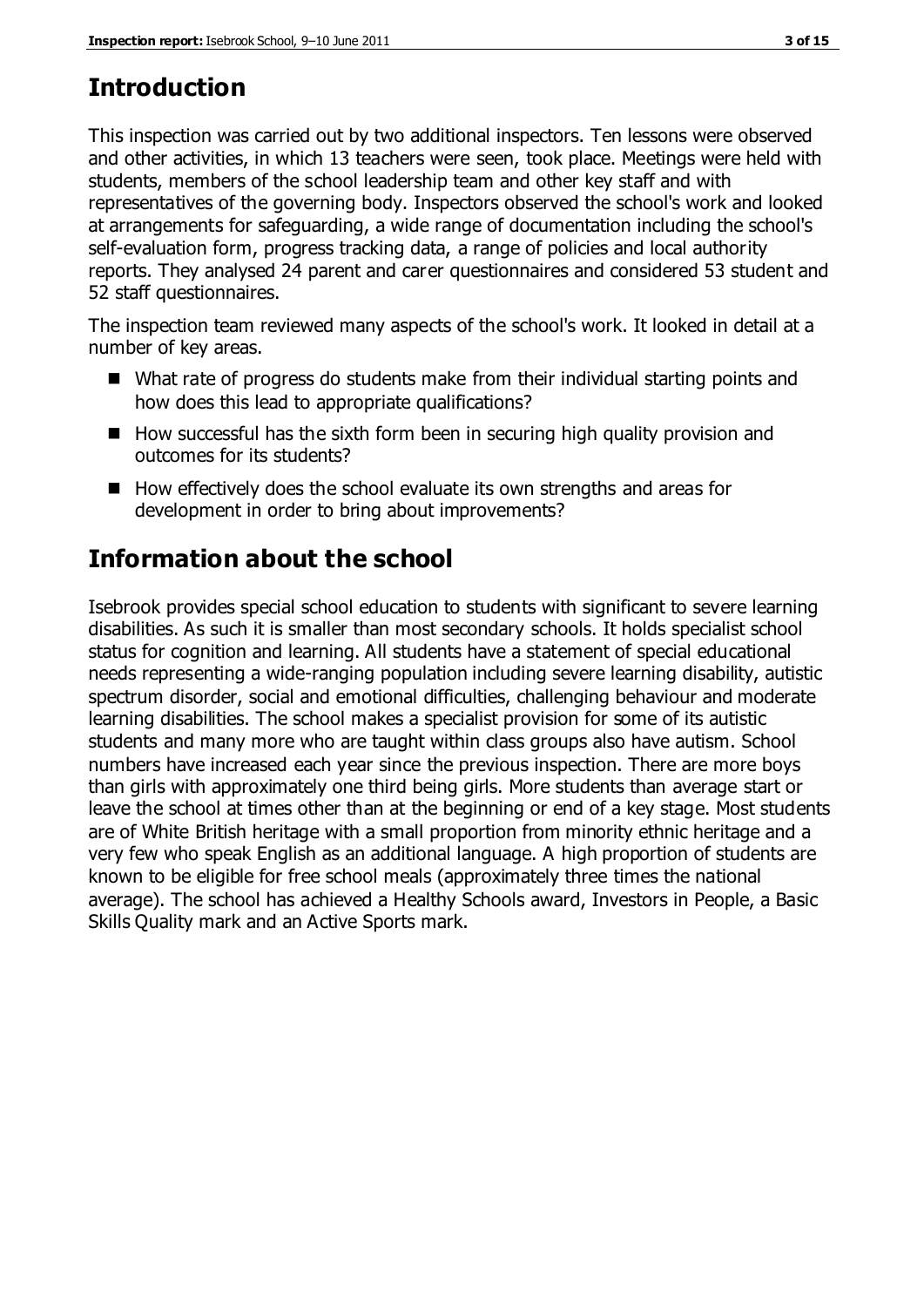# **Introduction**

This inspection was carried out by two additional inspectors. Ten lessons were observed and other activities, in which 13 teachers were seen, took place. Meetings were held with students, members of the school leadership team and other key staff and with representatives of the governing body. Inspectors observed the school's work and looked at arrangements for safeguarding, a wide range of documentation including the school's self-evaluation form, progress tracking data, a range of policies and local authority reports. They analysed 24 parent and carer questionnaires and considered 53 student and 52 staff questionnaires.

The inspection team reviewed many aspects of the school's work. It looked in detail at a number of key areas.

- What rate of progress do students make from their individual starting points and how does this lead to appropriate qualifications?
- $\blacksquare$  How successful has the sixth form been in securing high quality provision and outcomes for its students?
- $\blacksquare$  How effectively does the school evaluate its own strengths and areas for development in order to bring about improvements?

# **Information about the school**

Isebrook provides special school education to students with significant to severe learning disabilities. As such it is smaller than most secondary schools. It holds specialist school status for cognition and learning. All students have a statement of special educational needs representing a wide-ranging population including severe learning disability, autistic spectrum disorder, social and emotional difficulties, challenging behaviour and moderate learning disabilities. The school makes a specialist provision for some of its autistic students and many more who are taught within class groups also have autism. School numbers have increased each year since the previous inspection. There are more boys than girls with approximately one third being girls. More students than average start or leave the school at times other than at the beginning or end of a key stage. Most students are of White British heritage with a small proportion from minority ethnic heritage and a very few who speak English as an additional language. A high proportion of students are known to be eligible for free school meals (approximately three times the national average). The school has achieved a Healthy Schools award, Investors in People, a Basic Skills Quality mark and an Active Sports mark.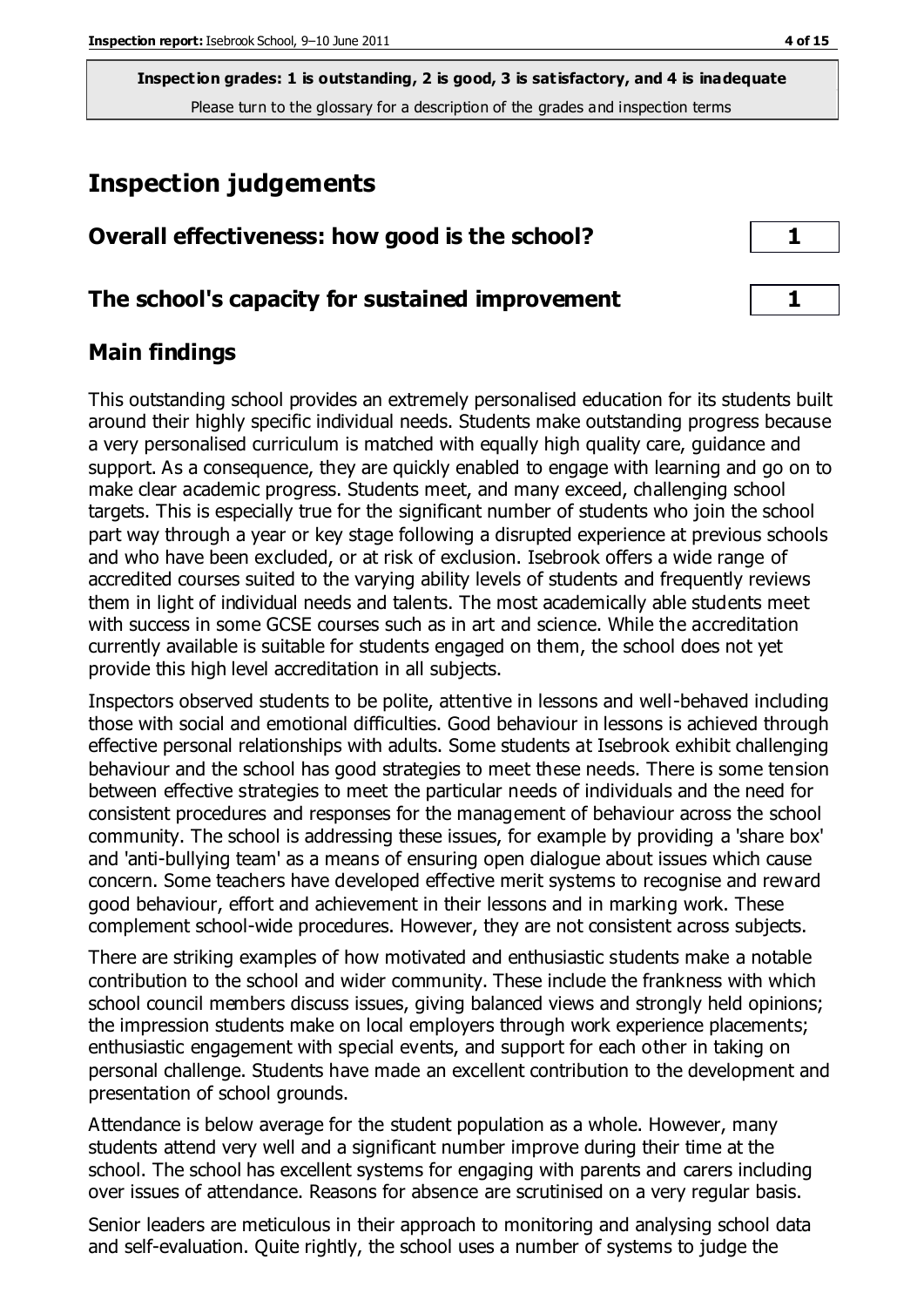## **Inspection judgements**

| Overall effectiveness: how good is the school? |  |
|------------------------------------------------|--|
|------------------------------------------------|--|

#### **The school's capacity for sustained improvement 1**

#### **Main findings**

This outstanding school provides an extremely personalised education for its students built around their highly specific individual needs. Students make outstanding progress because a very personalised curriculum is matched with equally high quality care, guidance and support. As a consequence, they are quickly enabled to engage with learning and go on to make clear academic progress. Students meet, and many exceed, challenging school targets. This is especially true for the significant number of students who join the school part way through a year or key stage following a disrupted experience at previous schools and who have been excluded, or at risk of exclusion. Isebrook offers a wide range of accredited courses suited to the varying ability levels of students and frequently reviews them in light of individual needs and talents. The most academically able students meet with success in some GCSE courses such as in art and science. While the accreditation currently available is suitable for students engaged on them, the school does not yet provide this high level accreditation in all subjects.

Inspectors observed students to be polite, attentive in lessons and well-behaved including those with social and emotional difficulties. Good behaviour in lessons is achieved through effective personal relationships with adults. Some students at Isebrook exhibit challenging behaviour and the school has good strategies to meet these needs. There is some tension between effective strategies to meet the particular needs of individuals and the need for consistent procedures and responses for the management of behaviour across the school community. The school is addressing these issues, for example by providing a 'share box' and 'anti-bullying team' as a means of ensuring open dialogue about issues which cause concern. Some teachers have developed effective merit systems to recognise and reward good behaviour, effort and achievement in their lessons and in marking work. These complement school-wide procedures. However, they are not consistent across subjects.

There are striking examples of how motivated and enthusiastic students make a notable contribution to the school and wider community. These include the frankness with which school council members discuss issues, giving balanced views and strongly held opinions; the impression students make on local employers through work experience placements; enthusiastic engagement with special events, and support for each other in taking on personal challenge. Students have made an excellent contribution to the development and presentation of school grounds.

Attendance is below average for the student population as a whole. However, many students attend very well and a significant number improve during their time at the school. The school has excellent systems for engaging with parents and carers including over issues of attendance. Reasons for absence are scrutinised on a very regular basis.

Senior leaders are meticulous in their approach to monitoring and analysing school data and self-evaluation. Quite rightly, the school uses a number of systems to judge the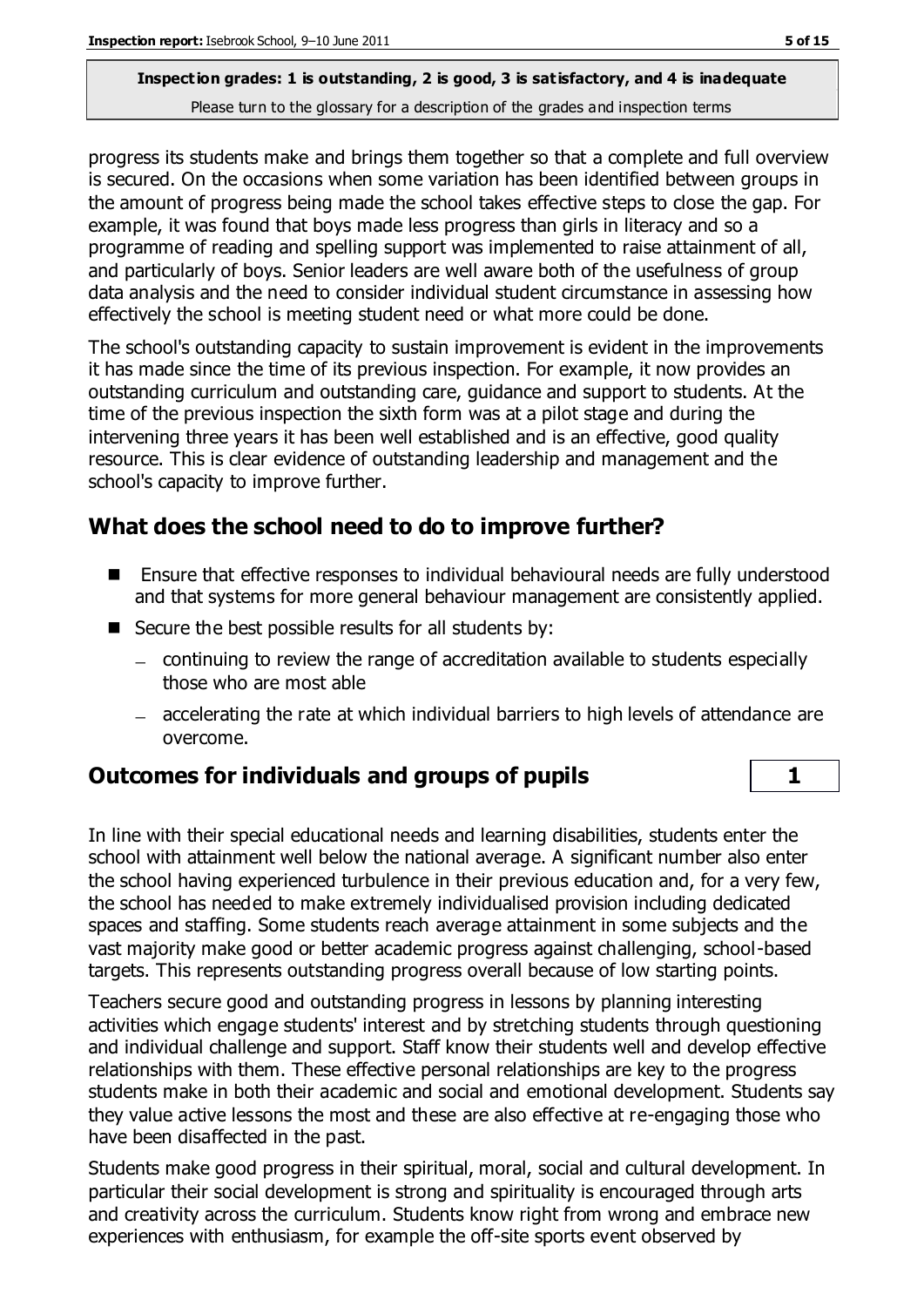progress its students make and brings them together so that a complete and full overview is secured. On the occasions when some variation has been identified between groups in the amount of progress being made the school takes effective steps to close the gap. For example, it was found that boys made less progress than girls in literacy and so a programme of reading and spelling support was implemented to raise attainment of all, and particularly of boys. Senior leaders are well aware both of the usefulness of group data analysis and the need to consider individual student circumstance in assessing how effectively the school is meeting student need or what more could be done.

The school's outstanding capacity to sustain improvement is evident in the improvements it has made since the time of its previous inspection. For example, it now provides an outstanding curriculum and outstanding care, guidance and support to students. At the time of the previous inspection the sixth form was at a pilot stage and during the intervening three years it has been well established and is an effective, good quality resource. This is clear evidence of outstanding leadership and management and the school's capacity to improve further.

## **What does the school need to do to improve further?**

- Ensure that effective responses to individual behavioural needs are fully understood and that systems for more general behaviour management are consistently applied.
- $\blacksquare$  Secure the best possible results for all students by:
	- continuing to review the range of accreditation available to students especially those who are most able
	- accelerating the rate at which individual barriers to high levels of attendance are overcome.

## **Outcomes for individuals and groups of pupils 1**

In line with their special educational needs and learning disabilities, students enter the school with attainment well below the national average. A significant number also enter the school having experienced turbulence in their previous education and, for a very few, the school has needed to make extremely individualised provision including dedicated spaces and staffing. Some students reach average attainment in some subjects and the vast majority make good or better academic progress against challenging, school-based targets. This represents outstanding progress overall because of low starting points.

Teachers secure good and outstanding progress in lessons by planning interesting activities which engage students' interest and by stretching students through questioning and individual challenge and support. Staff know their students well and develop effective relationships with them. These effective personal relationships are key to the progress students make in both their academic and social and emotional development. Students say they value active lessons the most and these are also effective at re-engaging those who have been disaffected in the past.

Students make good progress in their spiritual, moral, social and cultural development. In particular their social development is strong and spirituality is encouraged through arts and creativity across the curriculum. Students know right from wrong and embrace new experiences with enthusiasm, for example the off-site sports event observed by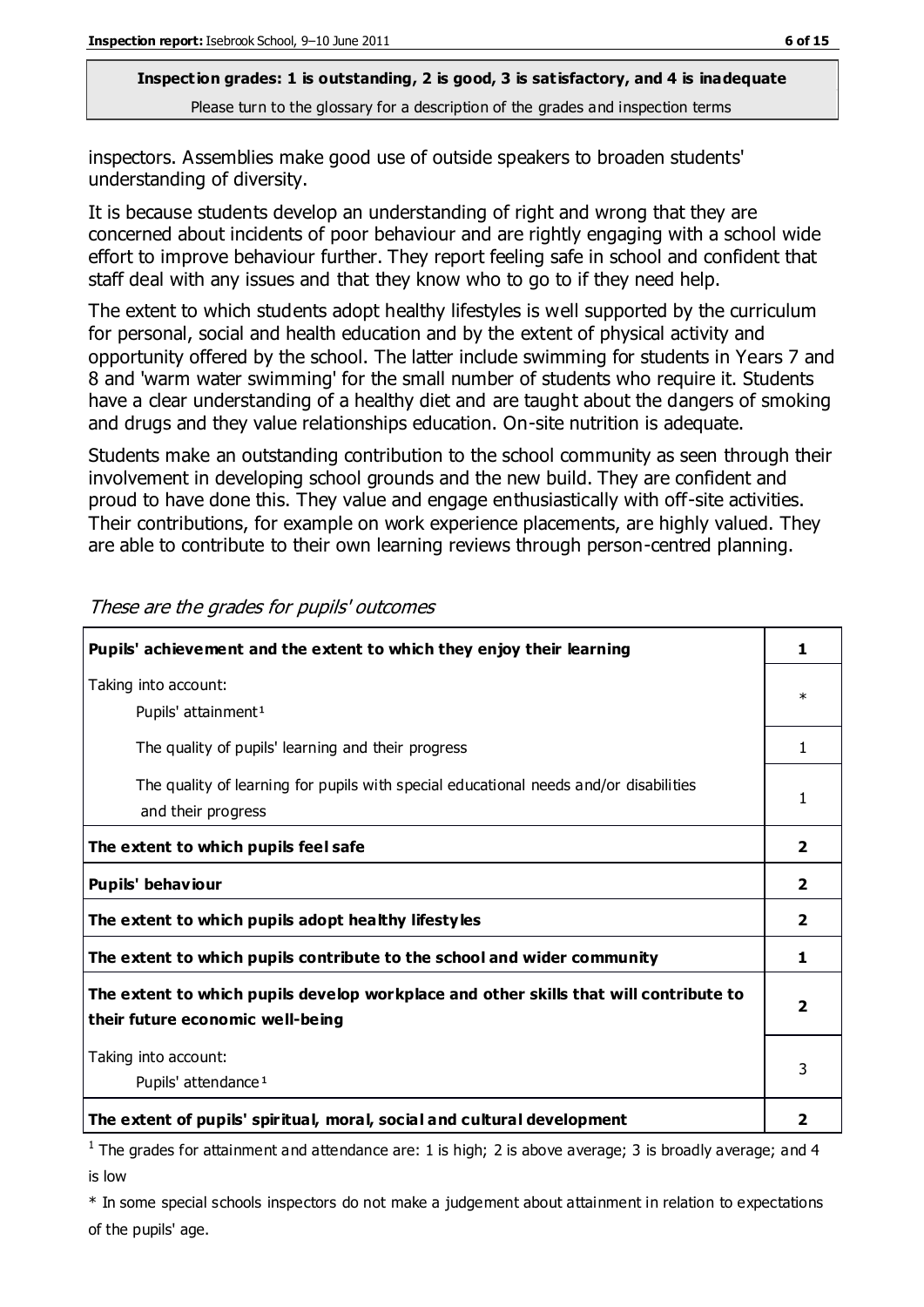inspectors. Assemblies make good use of outside speakers to broaden students' understanding of diversity.

It is because students develop an understanding of right and wrong that they are concerned about incidents of poor behaviour and are rightly engaging with a school wide effort to improve behaviour further. They report feeling safe in school and confident that staff deal with any issues and that they know who to go to if they need help.

The extent to which students adopt healthy lifestyles is well supported by the curriculum for personal, social and health education and by the extent of physical activity and opportunity offered by the school. The latter include swimming for students in Years 7 and 8 and 'warm water swimming' for the small number of students who require it. Students have a clear understanding of a healthy diet and are taught about the dangers of smoking and drugs and they value relationships education. On-site nutrition is adequate.

Students make an outstanding contribution to the school community as seen through their involvement in developing school grounds and the new build. They are confident and proud to have done this. They value and engage enthusiastically with off-site activities. Their contributions, for example on work experience placements, are highly valued. They are able to contribute to their own learning reviews through person-centred planning.

| Pupils' achievement and the extent to which they enjoy their learning                                                     | 1                       |
|---------------------------------------------------------------------------------------------------------------------------|-------------------------|
| Taking into account:<br>Pupils' attainment <sup>1</sup>                                                                   | $\ast$                  |
| The quality of pupils' learning and their progress                                                                        | 1                       |
| The quality of learning for pupils with special educational needs and/or disabilities<br>and their progress               | $\mathbf{1}$            |
| The extent to which pupils feel safe                                                                                      | $\overline{2}$          |
| Pupils' behaviour                                                                                                         | $\overline{\mathbf{2}}$ |
| The extent to which pupils adopt healthy lifestyles                                                                       | $\overline{\mathbf{2}}$ |
| The extent to which pupils contribute to the school and wider community                                                   |                         |
| The extent to which pupils develop workplace and other skills that will contribute to<br>their future economic well-being |                         |
| Taking into account:<br>Pupils' attendance <sup>1</sup>                                                                   | 3                       |
| The extent of pupils' spiritual, moral, social and cultural development                                                   | 2                       |

These are the grades for pupils' outcomes

<sup>1</sup> The grades for attainment and attendance are: 1 is high; 2 is above average; 3 is broadly average; and 4 is low

\* In some special schools inspectors do not make a judgement about attainment in relation to expectations of the pupils' age.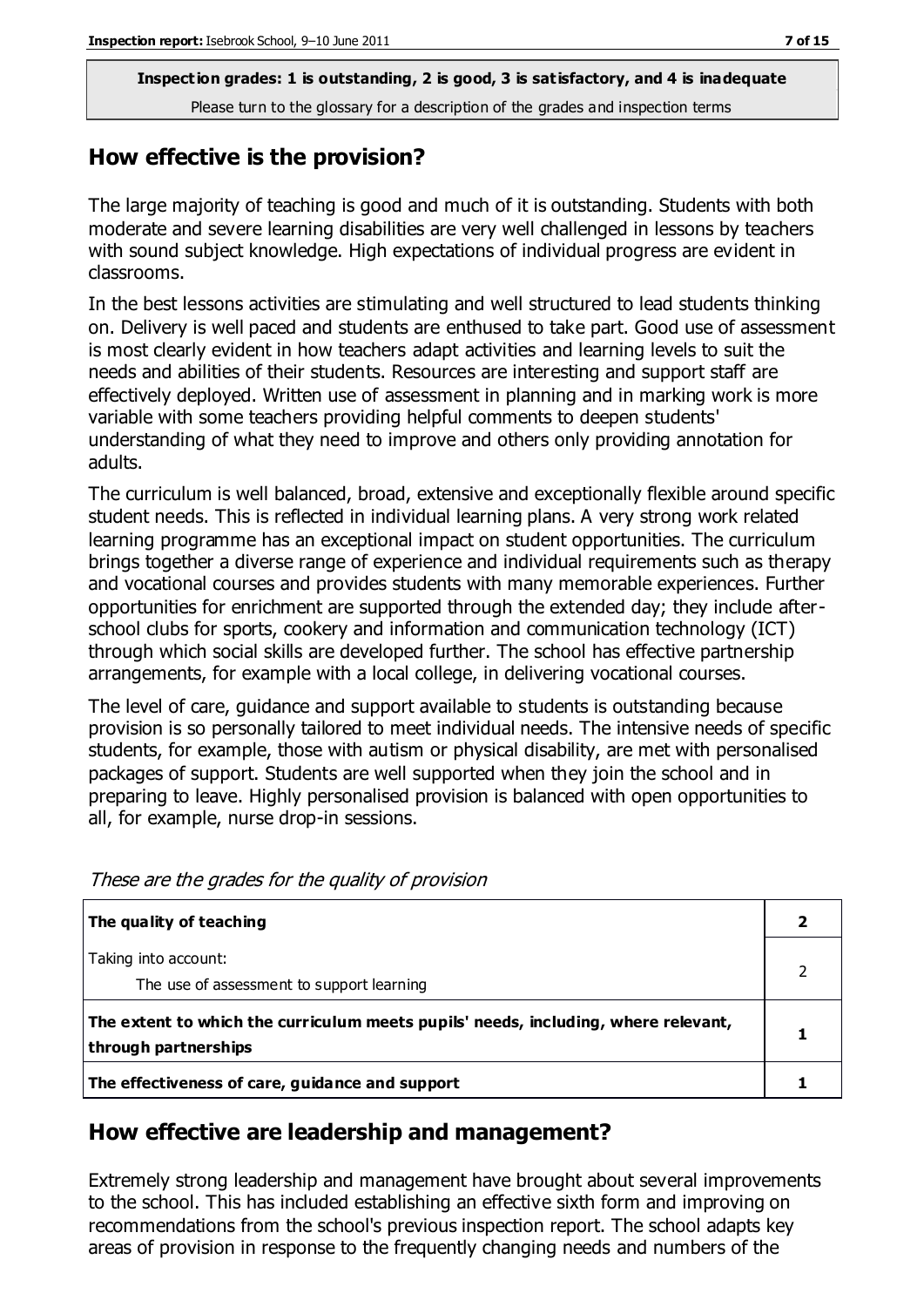#### **How effective is the provision?**

The large majority of teaching is good and much of it is outstanding. Students with both moderate and severe learning disabilities are very well challenged in lessons by teachers with sound subject knowledge. High expectations of individual progress are evident in classrooms.

In the best lessons activities are stimulating and well structured to lead students thinking on. Delivery is well paced and students are enthused to take part. Good use of assessment is most clearly evident in how teachers adapt activities and learning levels to suit the needs and abilities of their students. Resources are interesting and support staff are effectively deployed. Written use of assessment in planning and in marking work is more variable with some teachers providing helpful comments to deepen students' understanding of what they need to improve and others only providing annotation for adults.

The curriculum is well balanced, broad, extensive and exceptionally flexible around specific student needs. This is reflected in individual learning plans. A very strong work related learning programme has an exceptional impact on student opportunities. The curriculum brings together a diverse range of experience and individual requirements such as therapy and vocational courses and provides students with many memorable experiences. Further opportunities for enrichment are supported through the extended day; they include afterschool clubs for sports, cookery and information and communication technology (ICT) through which social skills are developed further. The school has effective partnership arrangements, for example with a local college, in delivering vocational courses.

The level of care, guidance and support available to students is outstanding because provision is so personally tailored to meet individual needs. The intensive needs of specific students, for example, those with autism or physical disability, are met with personalised packages of support. Students are well supported when they join the school and in preparing to leave. Highly personalised provision is balanced with open opportunities to all, for example, nurse drop-in sessions.

| The quality of teaching                                                                                    |  |
|------------------------------------------------------------------------------------------------------------|--|
| Taking into account:<br>The use of assessment to support learning                                          |  |
| The extent to which the curriculum meets pupils' needs, including, where relevant,<br>through partnerships |  |
| The effectiveness of care, guidance and support                                                            |  |

These are the grades for the quality of provision

## **How effective are leadership and management?**

Extremely strong leadership and management have brought about several improvements to the school. This has included establishing an effective sixth form and improving on recommendations from the school's previous inspection report. The school adapts key areas of provision in response to the frequently changing needs and numbers of the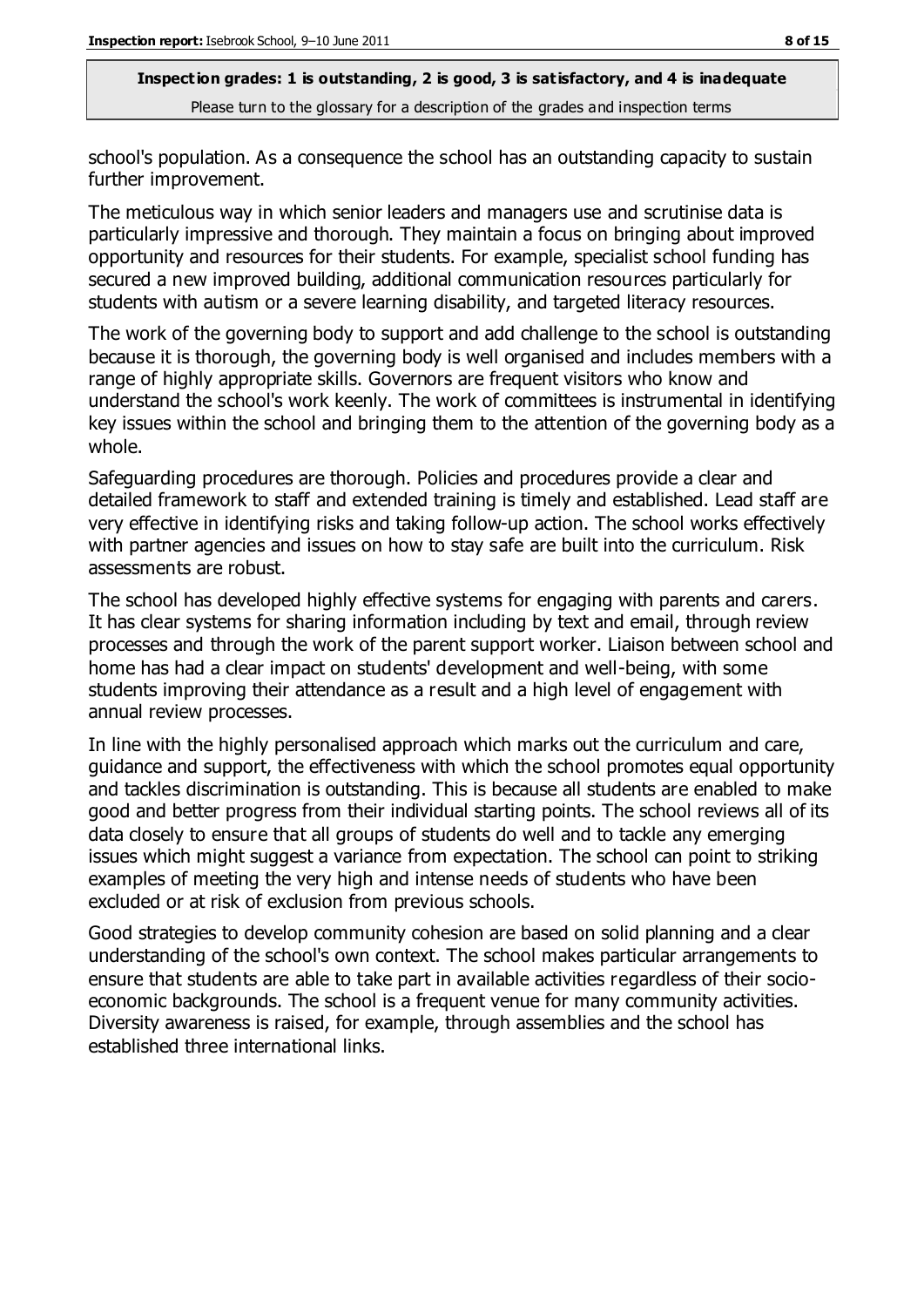school's population. As a consequence the school has an outstanding capacity to sustain further improvement.

The meticulous way in which senior leaders and managers use and scrutinise data is particularly impressive and thorough. They maintain a focus on bringing about improved opportunity and resources for their students. For example, specialist school funding has secured a new improved building, additional communication resources particularly for students with autism or a severe learning disability, and targeted literacy resources.

The work of the governing body to support and add challenge to the school is outstanding because it is thorough, the governing body is well organised and includes members with a range of highly appropriate skills. Governors are frequent visitors who know and understand the school's work keenly. The work of committees is instrumental in identifying key issues within the school and bringing them to the attention of the governing body as a whole.

Safeguarding procedures are thorough. Policies and procedures provide a clear and detailed framework to staff and extended training is timely and established. Lead staff are very effective in identifying risks and taking follow-up action. The school works effectively with partner agencies and issues on how to stay safe are built into the curriculum. Risk assessments are robust.

The school has developed highly effective systems for engaging with parents and carers. It has clear systems for sharing information including by text and email, through review processes and through the work of the parent support worker. Liaison between school and home has had a clear impact on students' development and well-being, with some students improving their attendance as a result and a high level of engagement with annual review processes.

In line with the highly personalised approach which marks out the curriculum and care, guidance and support, the effectiveness with which the school promotes equal opportunity and tackles discrimination is outstanding. This is because all students are enabled to make good and better progress from their individual starting points. The school reviews all of its data closely to ensure that all groups of students do well and to tackle any emerging issues which might suggest a variance from expectation. The school can point to striking examples of meeting the very high and intense needs of students who have been excluded or at risk of exclusion from previous schools.

Good strategies to develop community cohesion are based on solid planning and a clear understanding of the school's own context. The school makes particular arrangements to ensure that students are able to take part in available activities regardless of their socioeconomic backgrounds. The school is a frequent venue for many community activities. Diversity awareness is raised, for example, through assemblies and the school has established three international links.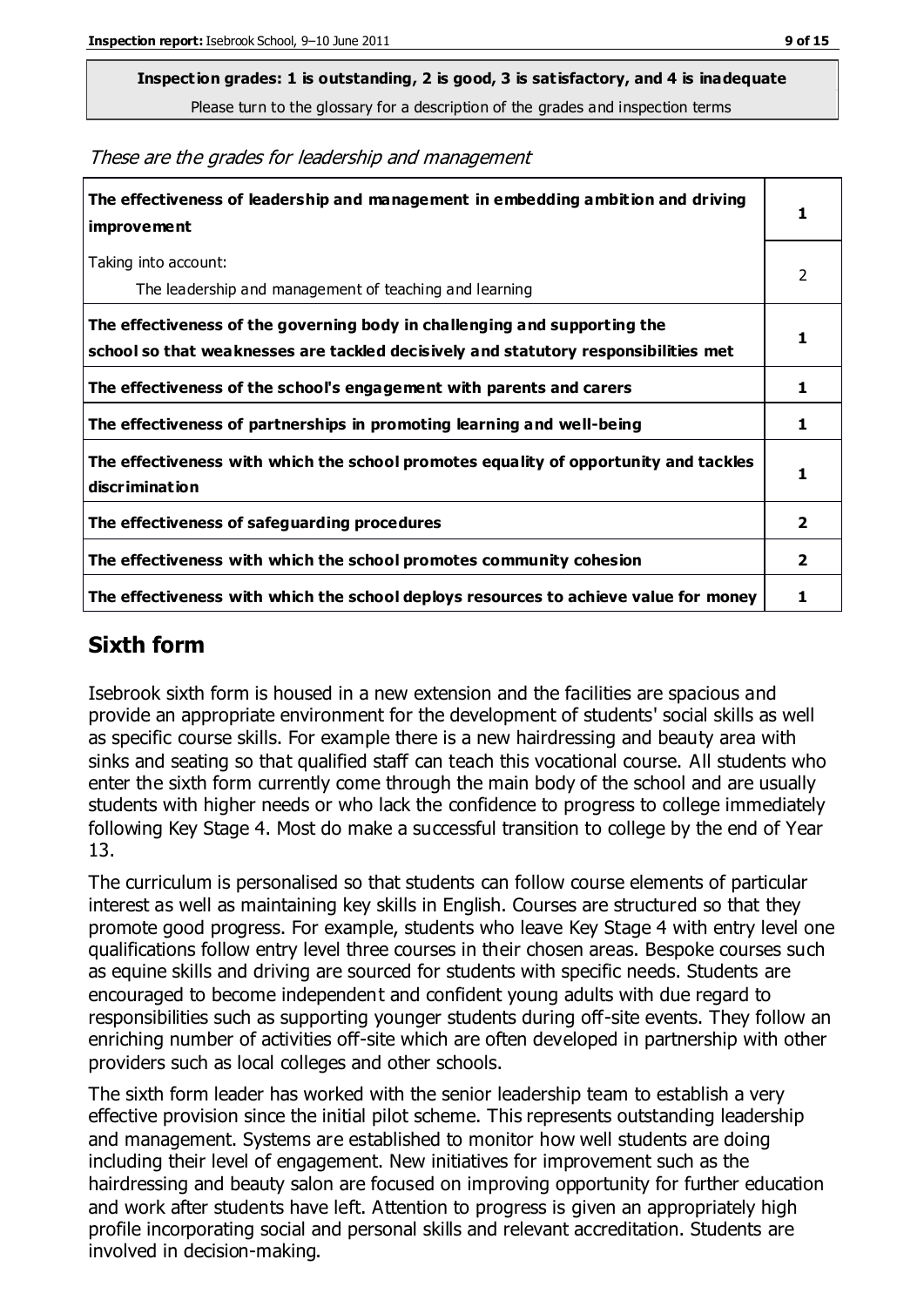**Inspection grades: 1 is outstanding, 2 is good, 3 is satisfactory, and 4 is inadequate**

Please turn to the glossary for a description of the grades and inspection terms

These are the grades for leadership and management

| The effectiveness of leadership and management in embedding ambition and driving<br>improvement                                                                  |                |
|------------------------------------------------------------------------------------------------------------------------------------------------------------------|----------------|
| Taking into account:<br>The leadership and management of teaching and learning                                                                                   | 2              |
| The effectiveness of the governing body in challenging and supporting the<br>school so that weaknesses are tackled decisively and statutory responsibilities met | 1              |
| The effectiveness of the school's engagement with parents and carers                                                                                             | 1              |
| The effectiveness of partnerships in promoting learning and well-being                                                                                           | 1              |
| The effectiveness with which the school promotes equality of opportunity and tackles<br>discrimination                                                           | 1              |
| The effectiveness of safeguarding procedures                                                                                                                     | $\overline{2}$ |
| The effectiveness with which the school promotes community cohesion                                                                                              | 2              |
| The effectiveness with which the school deploys resources to achieve value for money                                                                             | 1              |

#### **Sixth form**

Isebrook sixth form is housed in a new extension and the facilities are spacious and provide an appropriate environment for the development of students' social skills as well as specific course skills. For example there is a new hairdressing and beauty area with sinks and seating so that qualified staff can teach this vocational course. All students who enter the sixth form currently come through the main body of the school and are usually students with higher needs or who lack the confidence to progress to college immediately following Key Stage 4. Most do make a successful transition to college by the end of Year 13.

The curriculum is personalised so that students can follow course elements of particular interest as well as maintaining key skills in English. Courses are structured so that they promote good progress. For example, students who leave Key Stage 4 with entry level one qualifications follow entry level three courses in their chosen areas. Bespoke courses such as equine skills and driving are sourced for students with specific needs. Students are encouraged to become independent and confident young adults with due regard to responsibilities such as supporting younger students during off-site events. They follow an enriching number of activities off-site which are often developed in partnership with other providers such as local colleges and other schools.

The sixth form leader has worked with the senior leadership team to establish a very effective provision since the initial pilot scheme. This represents outstanding leadership and management. Systems are established to monitor how well students are doing including their level of engagement. New initiatives for improvement such as the hairdressing and beauty salon are focused on improving opportunity for further education and work after students have left. Attention to progress is given an appropriately high profile incorporating social and personal skills and relevant accreditation. Students are involved in decision-making.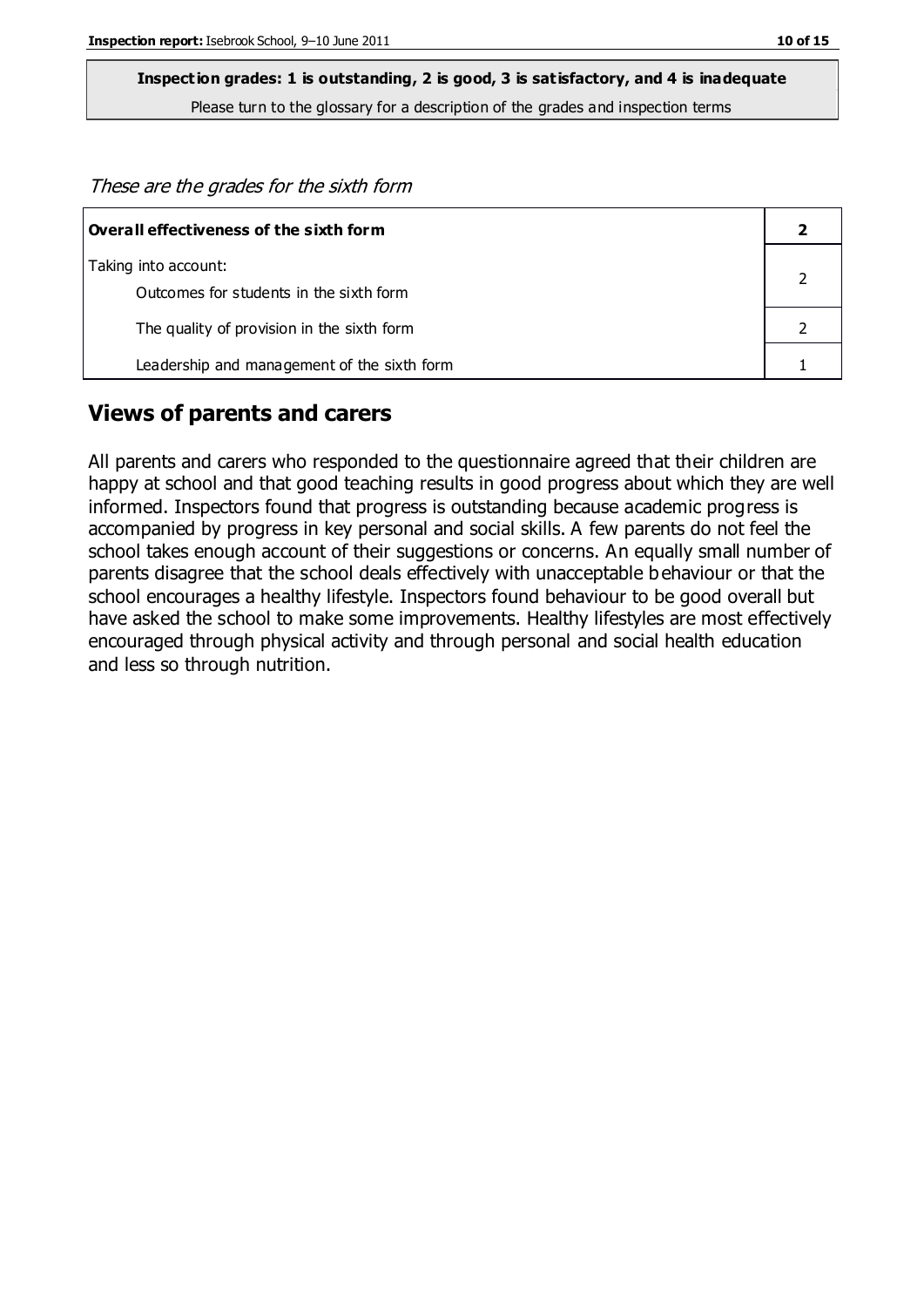These are the grades for the sixth form

| Overall effectiveness of the sixth form     |  |
|---------------------------------------------|--|
| Taking into account:                        |  |
| Outcomes for students in the sixth form     |  |
| The quality of provision in the sixth form  |  |
| Leadership and management of the sixth form |  |

#### **Views of parents and carers**

All parents and carers who responded to the questionnaire agreed that their children are happy at school and that good teaching results in good progress about which they are well informed. Inspectors found that progress is outstanding because academic progress is accompanied by progress in key personal and social skills. A few parents do not feel the school takes enough account of their suggestions or concerns. An equally small number of parents disagree that the school deals effectively with unacceptable behaviour or that the school encourages a healthy lifestyle. Inspectors found behaviour to be good overall but have asked the school to make some improvements. Healthy lifestyles are most effectively encouraged through physical activity and through personal and social health education and less so through nutrition.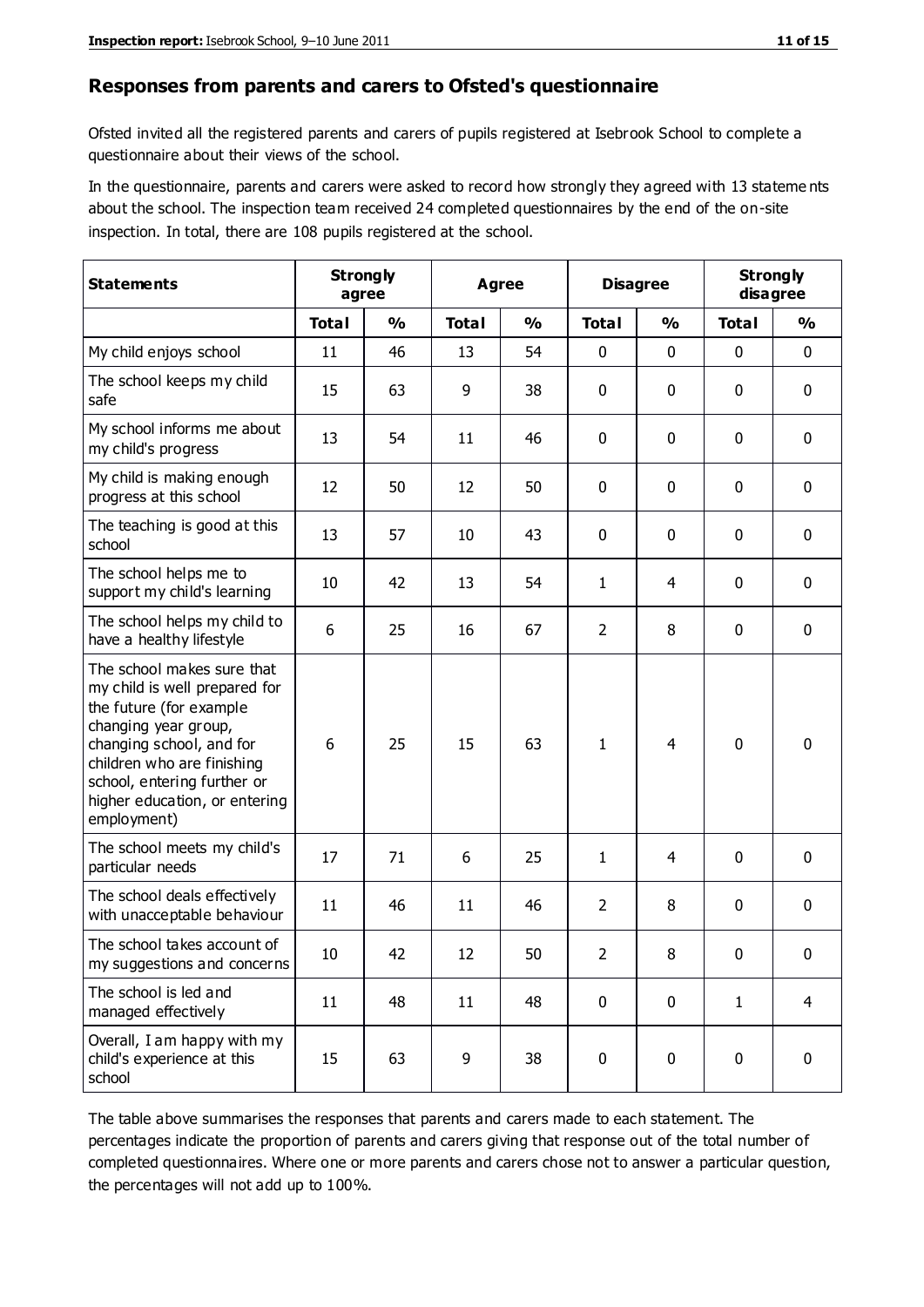#### **Responses from parents and carers to Ofsted's questionnaire**

Ofsted invited all the registered parents and carers of pupils registered at Isebrook School to complete a questionnaire about their views of the school.

In the questionnaire, parents and carers were asked to record how strongly they agreed with 13 stateme nts about the school. The inspection team received 24 completed questionnaires by the end of the on-site inspection. In total, there are 108 pupils registered at the school.

| <b>Statements</b>                                                                                                                                                                                                                                       | <b>Strongly</b><br>agree |               | <b>Agree</b> |               | <b>Disagree</b> |               | <b>Strongly</b><br>disagree |                |
|---------------------------------------------------------------------------------------------------------------------------------------------------------------------------------------------------------------------------------------------------------|--------------------------|---------------|--------------|---------------|-----------------|---------------|-----------------------------|----------------|
|                                                                                                                                                                                                                                                         | <b>Total</b>             | $\frac{0}{0}$ | <b>Total</b> | $\frac{0}{0}$ | <b>Total</b>    | $\frac{0}{0}$ | <b>Total</b>                | $\frac{0}{0}$  |
| My child enjoys school                                                                                                                                                                                                                                  | 11                       | 46            | 13           | 54            | 0               | 0             | $\mathbf 0$                 | $\mathbf 0$    |
| The school keeps my child<br>safe                                                                                                                                                                                                                       | 15                       | 63            | 9            | 38            | 0               | 0             | $\mathbf 0$                 | $\mathbf 0$    |
| My school informs me about<br>my child's progress                                                                                                                                                                                                       | 13                       | 54            | 11           | 46            | 0               | $\mathbf{0}$  | $\mathbf 0$                 | $\mathbf 0$    |
| My child is making enough<br>progress at this school                                                                                                                                                                                                    | 12                       | 50            | 12           | 50            | 0               | 0             | 0                           | $\mathbf 0$    |
| The teaching is good at this<br>school                                                                                                                                                                                                                  | 13                       | 57            | 10           | 43            | 0               | 0             | $\mathbf 0$                 | $\mathbf 0$    |
| The school helps me to<br>support my child's learning                                                                                                                                                                                                   | 10                       | 42            | 13           | 54            | 1               | 4             | $\mathbf 0$                 | $\mathbf 0$    |
| The school helps my child to<br>have a healthy lifestyle                                                                                                                                                                                                | 6                        | 25            | 16           | 67            | $\overline{2}$  | 8             | $\mathbf 0$                 | $\mathbf 0$    |
| The school makes sure that<br>my child is well prepared for<br>the future (for example<br>changing year group,<br>changing school, and for<br>children who are finishing<br>school, entering further or<br>higher education, or entering<br>employment) | 6                        | 25            | 15           | 63            | 1               | 4             | $\mathbf 0$                 | $\mathbf 0$    |
| The school meets my child's<br>particular needs                                                                                                                                                                                                         | 17                       | 71            | 6            | 25            | 1               | 4             | $\mathbf 0$                 | $\mathbf 0$    |
| The school deals effectively<br>with unacceptable behaviour                                                                                                                                                                                             | 11                       | 46            | 11           | 46            | $\overline{2}$  | 8             | $\mathbf 0$                 | 0              |
| The school takes account of<br>my suggestions and concerns                                                                                                                                                                                              | 10                       | 42            | 12           | 50            | $\overline{2}$  | 8             | 0                           | 0              |
| The school is led and<br>managed effectively                                                                                                                                                                                                            | 11                       | 48            | 11           | 48            | $\mathbf 0$     | $\mathbf 0$   | $\mathbf{1}$                | $\overline{4}$ |
| Overall, I am happy with my<br>child's experience at this<br>school                                                                                                                                                                                     | 15                       | 63            | 9            | 38            | $\pmb{0}$       | 0             | $\mathbf 0$                 | $\mathbf 0$    |

The table above summarises the responses that parents and carers made to each statement. The percentages indicate the proportion of parents and carers giving that response out of the total number of completed questionnaires. Where one or more parents and carers chose not to answer a particular question, the percentages will not add up to 100%.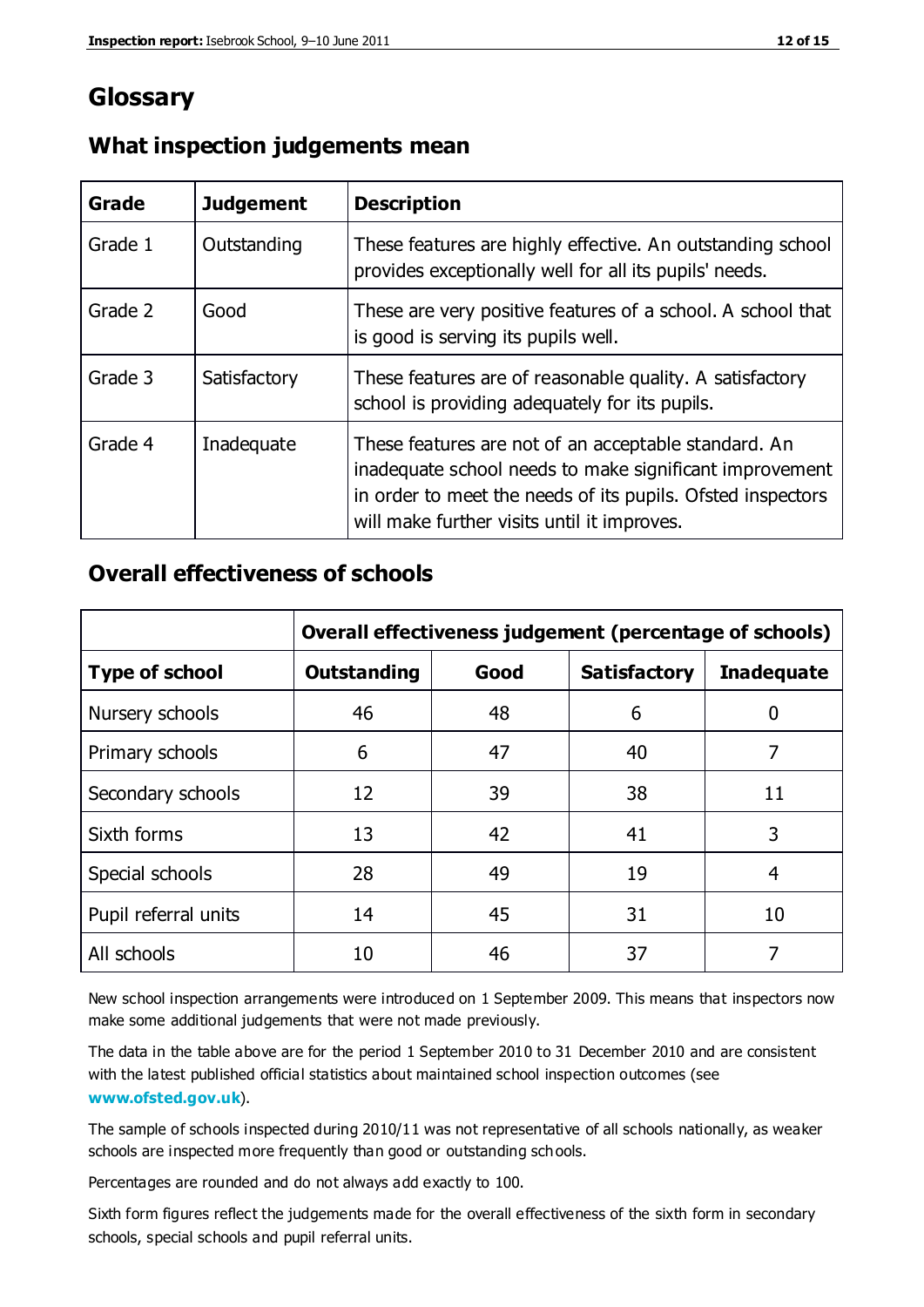## **Glossary**

| Grade   | <b>Judgement</b> | <b>Description</b>                                                                                                                                                                                                            |
|---------|------------------|-------------------------------------------------------------------------------------------------------------------------------------------------------------------------------------------------------------------------------|
| Grade 1 | Outstanding      | These features are highly effective. An outstanding school<br>provides exceptionally well for all its pupils' needs.                                                                                                          |
| Grade 2 | Good             | These are very positive features of a school. A school that<br>is good is serving its pupils well.                                                                                                                            |
| Grade 3 | Satisfactory     | These features are of reasonable quality. A satisfactory<br>school is providing adequately for its pupils.                                                                                                                    |
| Grade 4 | Inadequate       | These features are not of an acceptable standard. An<br>inadequate school needs to make significant improvement<br>in order to meet the needs of its pupils. Ofsted inspectors<br>will make further visits until it improves. |

#### **What inspection judgements mean**

#### **Overall effectiveness of schools**

|                       | Overall effectiveness judgement (percentage of schools) |      |                     |                   |
|-----------------------|---------------------------------------------------------|------|---------------------|-------------------|
| <b>Type of school</b> | <b>Outstanding</b>                                      | Good | <b>Satisfactory</b> | <b>Inadequate</b> |
| Nursery schools       | 46                                                      | 48   | 6                   |                   |
| Primary schools       | 6                                                       | 47   | 40                  | 7                 |
| Secondary schools     | 12                                                      | 39   | 38                  | 11                |
| Sixth forms           | 13                                                      | 42   | 41                  | 3                 |
| Special schools       | 28                                                      | 49   | 19                  | 4                 |
| Pupil referral units  | 14                                                      | 45   | 31                  | 10                |
| All schools           | 10                                                      | 46   | 37                  |                   |

New school inspection arrangements were introduced on 1 September 2009. This means that inspectors now make some additional judgements that were not made previously.

The data in the table above are for the period 1 September 2010 to 31 December 2010 and are consistent with the latest published official statistics about maintained school inspection outcomes (see **[www.ofsted.gov.uk](http://www.ofsted.gov.uk/)**).

The sample of schools inspected during 2010/11 was not representative of all schools nationally, as weaker schools are inspected more frequently than good or outstanding schools.

Percentages are rounded and do not always add exactly to 100.

Sixth form figures reflect the judgements made for the overall effectiveness of the sixth form in secondary schools, special schools and pupil referral units.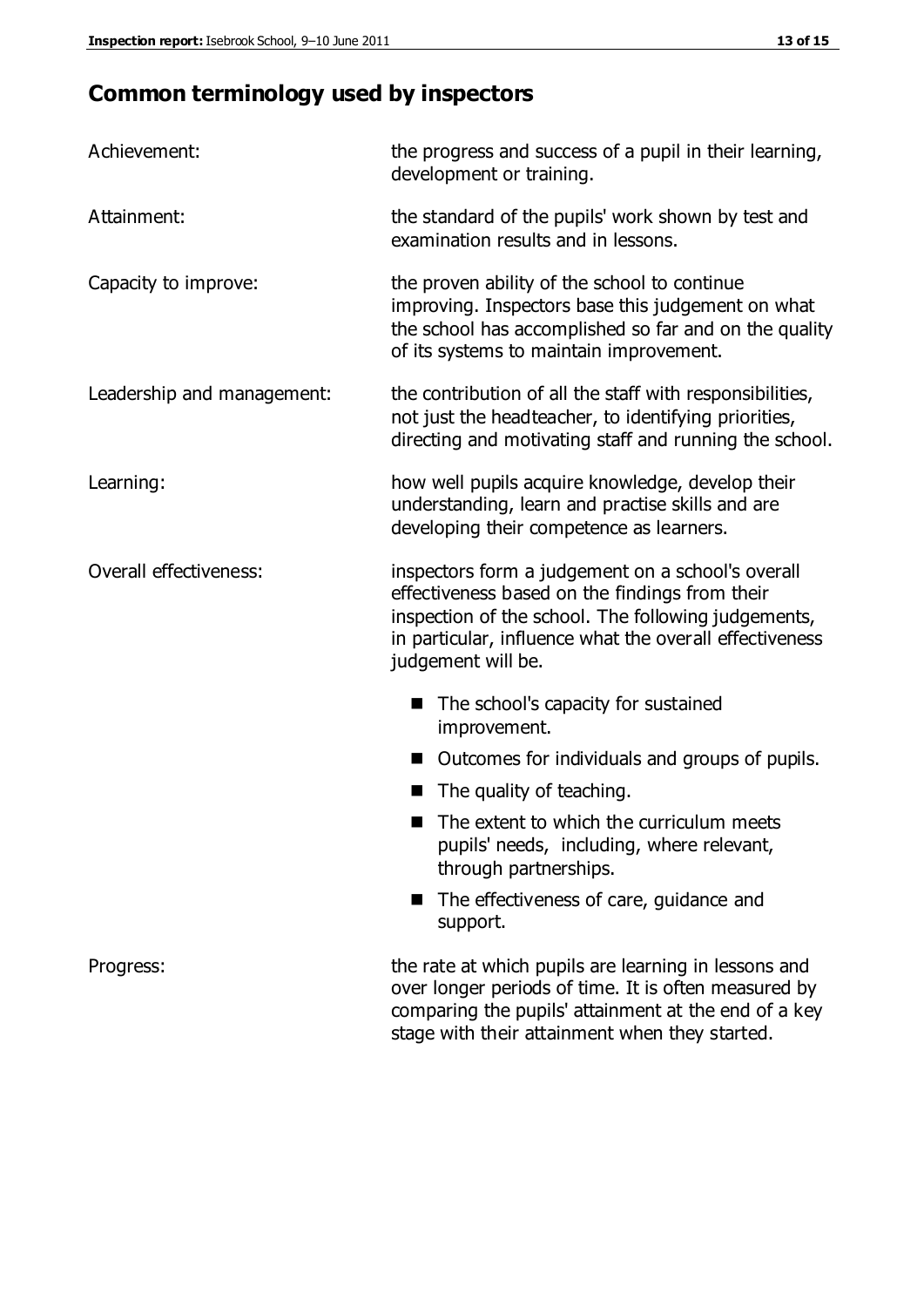## **Common terminology used by inspectors**

| Achievement:                  | the progress and success of a pupil in their learning,<br>development or training.                                                                                                                                                          |  |  |
|-------------------------------|---------------------------------------------------------------------------------------------------------------------------------------------------------------------------------------------------------------------------------------------|--|--|
| Attainment:                   | the standard of the pupils' work shown by test and<br>examination results and in lessons.                                                                                                                                                   |  |  |
| Capacity to improve:          | the proven ability of the school to continue<br>improving. Inspectors base this judgement on what<br>the school has accomplished so far and on the quality<br>of its systems to maintain improvement.                                       |  |  |
| Leadership and management:    | the contribution of all the staff with responsibilities,<br>not just the headteacher, to identifying priorities,<br>directing and motivating staff and running the school.                                                                  |  |  |
| Learning:                     | how well pupils acquire knowledge, develop their<br>understanding, learn and practise skills and are<br>developing their competence as learners.                                                                                            |  |  |
| <b>Overall effectiveness:</b> | inspectors form a judgement on a school's overall<br>effectiveness based on the findings from their<br>inspection of the school. The following judgements,<br>in particular, influence what the overall effectiveness<br>judgement will be. |  |  |
|                               | The school's capacity for sustained<br>improvement.                                                                                                                                                                                         |  |  |
|                               | Outcomes for individuals and groups of pupils.                                                                                                                                                                                              |  |  |
|                               | The quality of teaching.                                                                                                                                                                                                                    |  |  |
|                               | The extent to which the curriculum meets<br>pupils' needs, including, where relevant,<br>through partnerships.                                                                                                                              |  |  |
|                               | The effectiveness of care, guidance and<br>support.                                                                                                                                                                                         |  |  |
| Progress:                     | the rate at which pupils are learning in lessons and<br>over longer periods of time. It is often measured by<br>comparing the pupils' attainment at the end of a key                                                                        |  |  |

stage with their attainment when they started.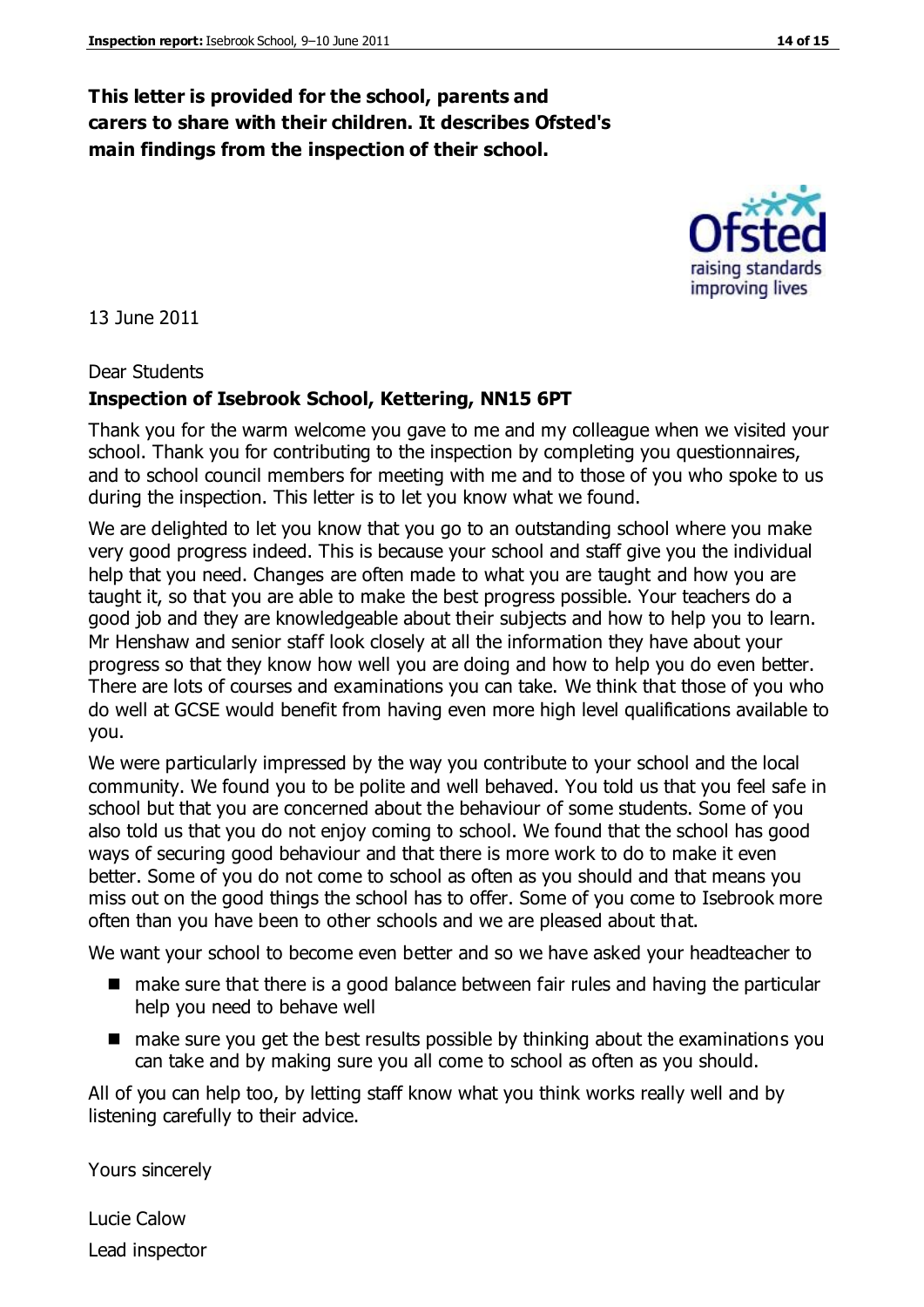#### **This letter is provided for the school, parents and carers to share with their children. It describes Ofsted's main findings from the inspection of their school.**

13 June 2011

#### Dear Students

#### **Inspection of Isebrook School, Kettering, NN15 6PT**

Thank you for the warm welcome you gave to me and my colleague when we visited your school. Thank you for contributing to the inspection by completing you questionnaires, and to school council members for meeting with me and to those of you who spoke to us during the inspection. This letter is to let you know what we found.

We are delighted to let you know that you go to an outstanding school where you make very good progress indeed. This is because your school and staff give you the individual help that you need. Changes are often made to what you are taught and how you are taught it, so that you are able to make the best progress possible. Your teachers do a good job and they are knowledgeable about their subjects and how to help you to learn. Mr Henshaw and senior staff look closely at all the information they have about your progress so that they know how well you are doing and how to help you do even better. There are lots of courses and examinations you can take. We think that those of you who do well at GCSE would benefit from having even more high level qualifications available to you.

We were particularly impressed by the way you contribute to your school and the local community. We found you to be polite and well behaved. You told us that you feel safe in school but that you are concerned about the behaviour of some students. Some of you also told us that you do not enjoy coming to school. We found that the school has good ways of securing good behaviour and that there is more work to do to make it even better. Some of you do not come to school as often as you should and that means you miss out on the good things the school has to offer. Some of you come to Isebrook more often than you have been to other schools and we are pleased about that.

We want your school to become even better and so we have asked your headteacher to

- make sure that there is a good balance between fair rules and having the particular help you need to behave well
- make sure you get the best results possible by thinking about the examinations you can take and by making sure you all come to school as often as you should.

All of you can help too, by letting staff know what you think works really well and by listening carefully to their advice.

Yours sincerely

Lucie Calow Lead inspector